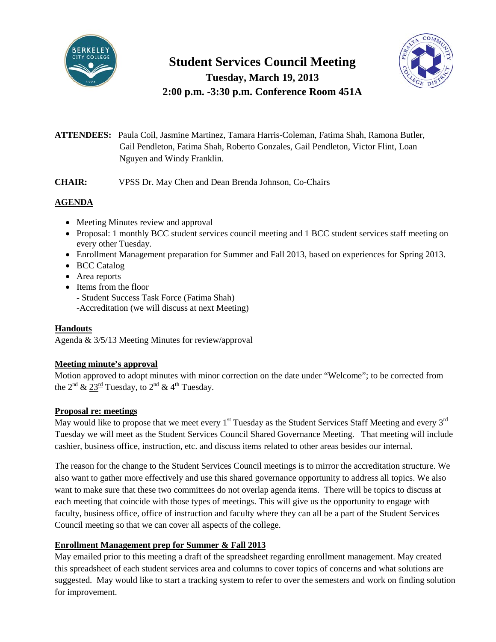

# **Student Services Council Meeting Tuesday, March 19, 2013**

**2:00 p.m. -3:30 p.m. Conference Room 451A**



**ATTENDEES:** Paula Coil, Jasmine Martinez, Tamara Harris-Coleman, Fatima Shah, Ramona Butler, Gail Pendleton, Fatima Shah, Roberto Gonzales, Gail Pendleton, Victor Flint, Loan Nguyen and Windy Franklin.

**CHAIR:** VPSS Dr. May Chen and Dean Brenda Johnson, Co-Chairs

## **AGENDA**

- Meeting Minutes review and approval
- Proposal: 1 monthly BCC student services council meeting and 1 BCC student services staff meeting on every other Tuesday.
- Enrollment Management preparation for Summer and Fall 2013, based on experiences for Spring 2013.
- BCC Catalog
- Area reports
- Items from the floor

- Student Success Task Force (Fatima Shah)

-Accreditation (we will discuss at next Meeting)

## **Handouts**

Agenda & 3/5/13 Meeting Minutes for review/approval

## **Meeting minute's approval**

Motion approved to adopt minutes with minor correction on the date under "Welcome"; to be corrected from the  $2^{nd}$  &  $23^{rd}$  Tuesday, to  $2^{nd}$  & 4<sup>th</sup> Tuesday.

## **Proposal re: meetings**

May would like to propose that we meet every  $1<sup>st</sup>$  Tuesday as the Student Services Staff Meeting and every  $3<sup>rd</sup>$ Tuesday we will meet as the Student Services Council Shared Governance Meeting. That meeting will include cashier, business office, instruction, etc. and discuss items related to other areas besides our internal.

The reason for the change to the Student Services Council meetings is to mirror the accreditation structure. We also want to gather more effectively and use this shared governance opportunity to address all topics. We also want to make sure that these two committees do not overlap agenda items. There will be topics to discuss at each meeting that coincide with those types of meetings. This will give us the opportunity to engage with faculty, business office, office of instruction and faculty where they can all be a part of the Student Services Council meeting so that we can cover all aspects of the college.

## **Enrollment Management prep for Summer & Fall 2013**

May emailed prior to this meeting a draft of the spreadsheet regarding enrollment management. May created this spreadsheet of each student services area and columns to cover topics of concerns and what solutions are suggested. May would like to start a tracking system to refer to over the semesters and work on finding solution for improvement.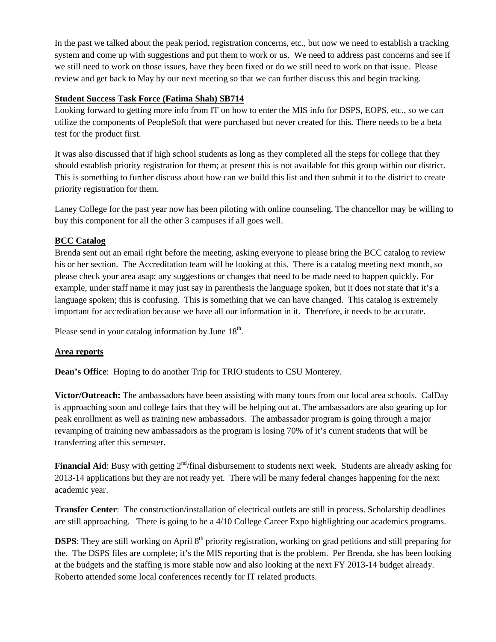In the past we talked about the peak period, registration concerns, etc., but now we need to establish a tracking system and come up with suggestions and put them to work or us. We need to address past concerns and see if we still need to work on those issues, have they been fixed or do we still need to work on that issue. Please review and get back to May by our next meeting so that we can further discuss this and begin tracking.

### **Student Success Task Force (Fatima Shah) SB714**

Looking forward to getting more info from IT on how to enter the MIS info for DSPS, EOPS, etc., so we can utilize the components of PeopleSoft that were purchased but never created for this. There needs to be a beta test for the product first.

It was also discussed that if high school students as long as they completed all the steps for college that they should establish priority registration for them; at present this is not available for this group within our district. This is something to further discuss about how can we build this list and then submit it to the district to create priority registration for them.

Laney College for the past year now has been piloting with online counseling. The chancellor may be willing to buy this component for all the other 3 campuses if all goes well.

### **BCC Catalog**

Brenda sent out an email right before the meeting, asking everyone to please bring the BCC catalog to review his or her section. The Accreditation team will be looking at this. There is a catalog meeting next month, so please check your area asap; any suggestions or changes that need to be made need to happen quickly. For example, under staff name it may just say in parenthesis the language spoken, but it does not state that it's a language spoken; this is confusing. This is something that we can have changed. This catalog is extremely important for accreditation because we have all our information in it. Therefore, it needs to be accurate.

Please send in your catalog information by June  $18<sup>th</sup>$ .

### **Area reports**

**Dean's Office**: Hoping to do another Trip for TRIO students to CSU Monterey.

**Victor/Outreach:** The ambassadors have been assisting with many tours from our local area schools. CalDay is approaching soon and college fairs that they will be helping out at. The ambassadors are also gearing up for peak enrollment as well as training new ambassadors. The ambassador program is going through a major revamping of training new ambassadors as the program is losing 70% of it's current students that will be transferring after this semester.

**Financial Aid**: Busy with getting 2<sup>nd</sup>/final disbursement to students next week. Students are already asking for 2013-14 applications but they are not ready yet. There will be many federal changes happening for the next academic year.

**Transfer Center**: The construction/installation of electrical outlets are still in process. Scholarship deadlines are still approaching. There is going to be a 4/10 College Career Expo highlighting our academics programs.

**DSPS**: They are still working on April 8<sup>th</sup> priority registration, working on grad petitions and still preparing for the. The DSPS files are complete; it's the MIS reporting that is the problem. Per Brenda, she has been looking at the budgets and the staffing is more stable now and also looking at the next FY 2013-14 budget already. Roberto attended some local conferences recently for IT related products.